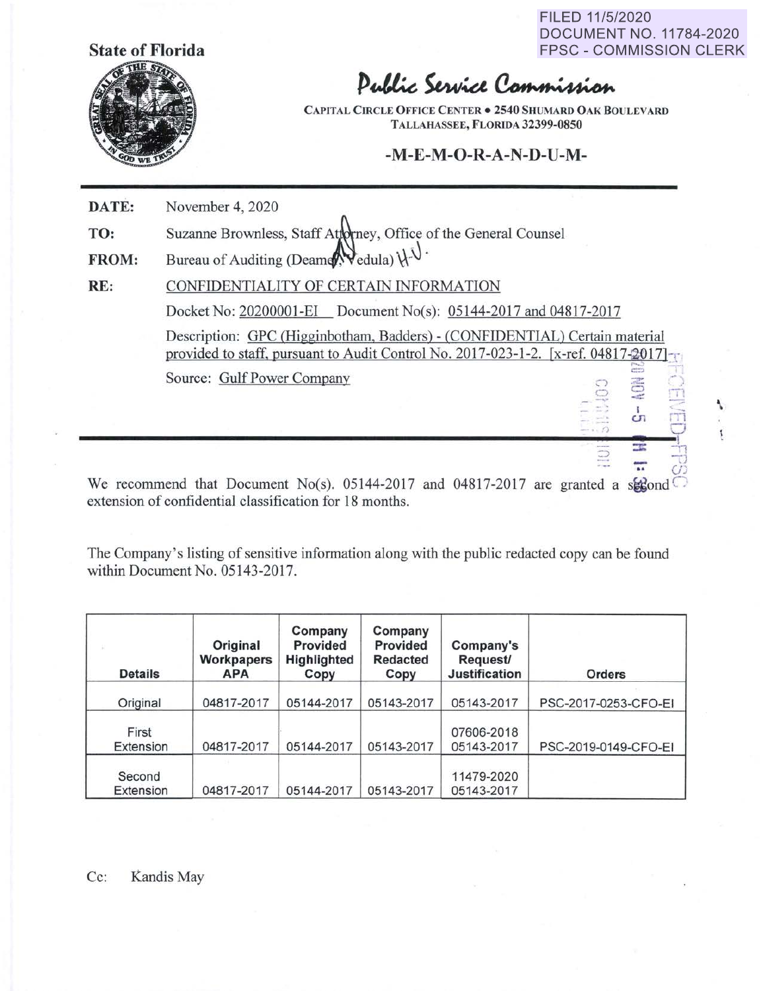**State of Florida** 



FILED 11/5/2020 DOCUMENT NO. 11784-2020 FPSC - COMMISSION CLERK

\

## Public Service Commission

**CAPITAL CIRCLE OFFICE CENTER**  $\bullet$  **2540 SHUMARD OAK BOULEVARD TALLAHASSEE, FLORIDA 32399-0850** 

## **-M-E-M-O-R-A-N-D-U-M-**

| DATE:        | November 4, 2020                                                                                                                                                 |  |  |  |  |  |
|--------------|------------------------------------------------------------------------------------------------------------------------------------------------------------------|--|--|--|--|--|
| TO:          | Suzanne Brownless, Staff Attorney, Office of the General Counsel                                                                                                 |  |  |  |  |  |
| <b>FROM:</b> | Bureau of Auditing (Deamer, Vedula) $\downarrow \downarrow \downarrow$ .                                                                                         |  |  |  |  |  |
| RE:          | CONFIDENTIALITY OF CERTAIN INFORMATION                                                                                                                           |  |  |  |  |  |
|              | Docket No: 20200001-EI Document No(s): 05144-2017 and 04817-2017                                                                                                 |  |  |  |  |  |
|              | Description: GPC (Higginbotham, Badders) - (CONFIDENTIAL) Certain material<br>provided to staff, pursuant to Audit Control No. 2017-023-1-2. [x-ref. 04817-2017] |  |  |  |  |  |
|              | Source: Gulf Power Company<br><b>EG</b><br>CT.                                                                                                                   |  |  |  |  |  |
|              | $A = 1$ $A = A$                                                                                                                                                  |  |  |  |  |  |

We recommend that Document No(s). 05144-2017 and 04817-2017 are granted a subseted  $\circ$ extension of confidential classification for 18 months.

The Company's listing of sensitive information along with the public redacted copy can be found within Document No. 05143-2017.

| <b>Details</b>      | Original<br>Workpapers<br><b>APA</b> | Company<br>Provided<br>Highlighted<br>Copy | Company<br>Provided<br><b>Redacted</b><br>Copy | Company's<br>Request/<br><b>Justification</b> | Orders               |
|---------------------|--------------------------------------|--------------------------------------------|------------------------------------------------|-----------------------------------------------|----------------------|
| Original            | 04817-2017                           | 05144-2017                                 | 05143-2017                                     | 05143-2017                                    | PSC-2017-0253-CFO-EI |
| First<br>Extension  | 04817-2017                           | 05144-2017                                 | 05143-2017                                     | 07606-2018<br>05143-2017                      | PSC-2019-0149-CFO-EI |
| Second<br>Extension | 04817-2017                           | 05144-2017                                 | 05143-2017                                     | 11479-2020<br>05143-2017                      |                      |